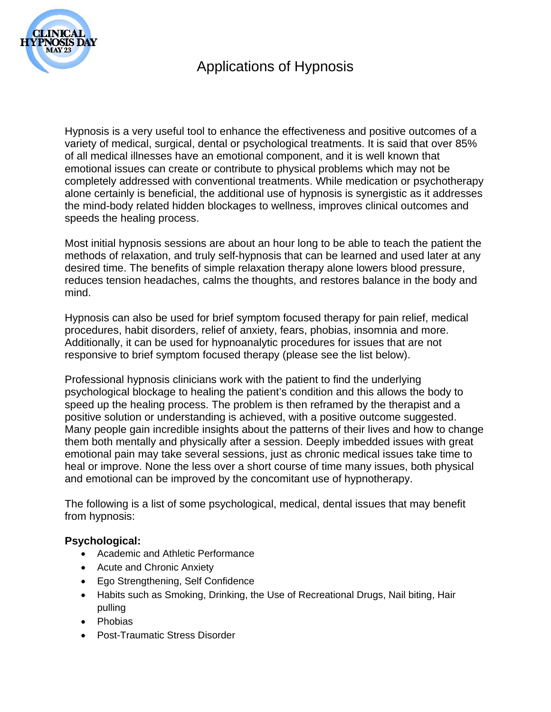

Hypnosis is a very useful tool to enhance the effectiveness and positive outcomes of a variety of medical, surgical, dental or psychological treatments. It is said that over 85% of all medical illnesses have an emotional component, and it is well known that emotional issues can create or contribute to physical problems which may not be completely addressed with conventional treatments. While medication or psychotherapy alone certainly is beneficial, the additional use of hypnosis is synergistic as it addresses the mind-body related hidden blockages to wellness, improves clinical outcomes and speeds the healing process.

Most initial hypnosis sessions are about an hour long to be able to teach the patient the methods of relaxation, and truly self-hypnosis that can be learned and used later at any desired time. The benefits of simple relaxation therapy alone lowers blood pressure, reduces tension headaches, calms the thoughts, and restores balance in the body and mind.

Hypnosis can also be used for brief symptom focused therapy for pain relief, medical procedures, habit disorders, relief of anxiety, fears, phobias, insomnia and more. Additionally, it can be used for hypnoanalytic procedures for issues that are not responsive to brief symptom focused therapy (please see the list below).

Professional hypnosis clinicians work with the patient to find the underlying psychological blockage to healing the patient's condition and this allows the body to speed up the healing process. The problem is then reframed by the therapist and a positive solution or understanding is achieved, with a positive outcome suggested. Many people gain incredible insights about the patterns of their lives and how to change them both mentally and physically after a session. Deeply imbedded issues with great emotional pain may take several sessions, just as chronic medical issues take time to heal or improve. None the less over a short course of time many issues, both physical and emotional can be improved by the concomitant use of hypnotherapy.

The following is a list of some psychological, medical, dental issues that may benefit from hypnosis:

## **Psychological:**

- Academic and Athletic Performance
- Acute and Chronic Anxiety
- Ego Strengthening, Self Confidence
- Habits such as Smoking, Drinking, the Use of Recreational Drugs, Nail biting, Hair pulling
- Phobias
- Post-Traumatic Stress Disorder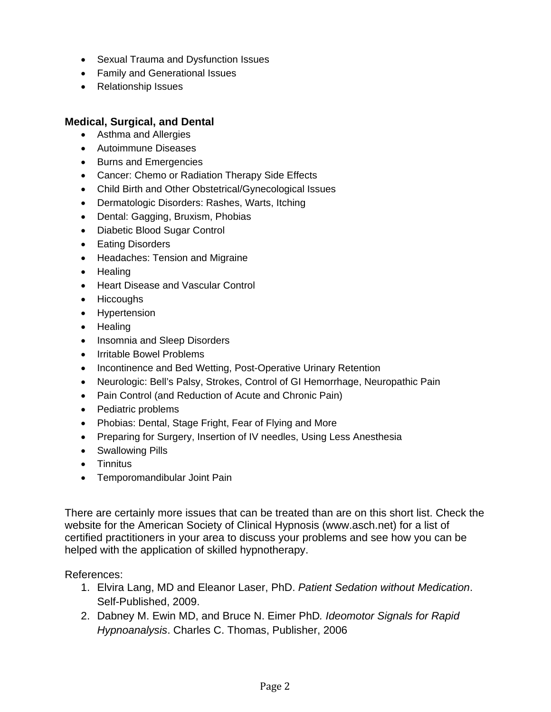- Sexual Trauma and Dysfunction Issues
- Family and Generational Issues
- Relationship Issues

## **Medical, Surgical, and Dental**

- Asthma and Allergies
- Autoimmune Diseases
- Burns and Emergencies
- Cancer: Chemo or Radiation Therapy Side Effects
- Child Birth and Other Obstetrical/Gynecological Issues
- Dermatologic Disorders: Rashes, Warts, Itching
- Dental: Gagging, Bruxism, Phobias
- Diabetic Blood Sugar Control
- **•** Eating Disorders
- Headaches: Tension and Migraine
- Healing
- Heart Disease and Vascular Control
- Hiccoughs
- Hypertension
- Healing
- Insomnia and Sleep Disorders
- Irritable Bowel Problems
- Incontinence and Bed Wetting, Post-Operative Urinary Retention
- Neurologic: Bell's Palsy, Strokes, Control of GI Hemorrhage, Neuropathic Pain
- Pain Control (and Reduction of Acute and Chronic Pain)
- Pediatric problems
- Phobias: Dental, Stage Fright, Fear of Flying and More
- Preparing for Surgery, Insertion of IV needles, Using Less Anesthesia
- Swallowing Pills
- Tinnitus
- Temporomandibular Joint Pain

There are certainly more issues that can be treated than are on this short list. Check the website for the American Society of Clinical Hypnosis (www.asch.net) for a list of certified practitioners in your area to discuss your problems and see how you can be helped with the application of skilled hypnotherapy.

References:

- 1. Elvira Lang, MD and Eleanor Laser, PhD. *Patient Sedation without Medication*. Self-Published, 2009.
- 2. Dabney M. Ewin MD, and Bruce N. Eimer PhD*. Ideomotor Signals for Rapid Hypnoanalysis*. Charles C. Thomas, Publisher, 2006